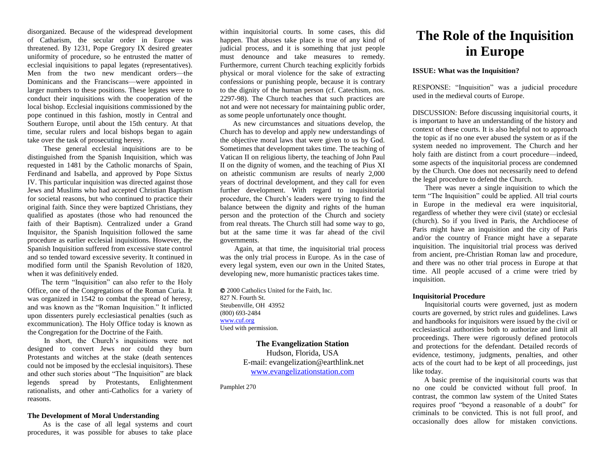disorganized. Because of the widespread development of Catharism, the secular order in Europe was threatened. By 1231, Pope Gregory IX desired greater uniformity of procedure, so he entrusted the matter of ecclesial inquisitions to papal legates (representatives). Men from the two new mendicant orders—the Dominicans and the Franciscans—were appointed in larger numbers to these positions. These legates were to conduct their inquisitions with the cooperation of the local bishop. Ecclesial inquisitions commissioned by the pope continued in this fashion, mostly in Central and Southern Europe, until about the 15th century. At that time, secular rulers and local bishops began to again take over the task of prosecuting heresy.

 These general ecclesial inquisitions are to be distinguished from the Spanish Inquisition, which was requested in 1481 by the Catholic monarchs of Spain, Ferdinand and Isabella, and approved by Pope Sixtus IV. This particular inquisition was directed against those Jews and Muslims who had accepted Christian Baptism for societal reasons, but who continued to practice their original faith. Since they were baptized Christians, they qualified as apostates (those who had renounced the faith of their Baptism). Centralized under a Grand Inquisitor, the Spanish Inquisition followed the same procedure as earlier ecclesial inquisitions. However, the Spanish Inquisition suffered from excessive state control and so tended toward excessive severity. It continued in modified form until the Spanish Revolution of 1820, when it was definitively ended.

 The term "Inquisition" can also refer to the Holy Office, one of the Congregations of the Roman Curia. It was organized in 1542 to combat the spread of heresy, and was known as the "Roman Inquisition." It inflicted upon dissenters purely ecclesiastical penalties (such as excommunication). The Holy Office today is known as the Congregation for the Doctrine of the Faith.

 In short, the Church's inquisitions were not designed to convert Jews nor could they burn Protestants and witches at the stake (death sentences could not be imposed by the ecclesial inquisitors). These and other such stories about "The Inquisition" are black legends spread by Protestants, Enlightenment rationalists, and other anti-Catholics for a variety of reasons.

## **The Development of Moral Understanding**

 As is the case of all legal systems and court procedures, it was possible for abuses to take place

within inquisitorial courts. In some cases, this did happen. That abuses take place is true of any kind of judicial process, and it is something that just people must denounce and take measures to remedy. Furthermore, current Church teaching explicitly forbids physical or moral violence for the sake of extracting confessions or punishing people, because it is contrary to the dignity of the human person (cf. Catechism, nos. 2297-98). The Church teaches that such practices are not and were not necessary for maintaining public order, as some people unfortunately once thought.

 As new circumstances and situations develop, the Church has to develop and apply new understandings of the objective moral laws that were given to us by God. Sometimes that development takes time. The teaching of Vatican II on religious liberty, the teaching of John Paul II on the dignity of women, and the teaching of Pius XI on atheistic communism are results of nearly 2,000 years of doctrinal development, and they call for even further development. With regard to inquisitorial procedure, the Church's leaders were trying to find the balance between the dignity and rights of the human person and the protection of the Church and society from real threats. The Church still had some way to go, but at the same time it was far ahead of the civil governments.

 Again, at that time, the inquisitorial trial process was the only trial process in Europe. As in the case of every legal system, even our own in the United States, developing new, more humanistic practices takes time.

 2000 Catholics United for the Faith, Inc. 827 N. Fourth St. Steubenville, OH 43952 (800) 693-2484 [www.cuf.org](http://www.cuf.org/) Used with permission.

> **The Evangelization Station** Hudson, Florida, USA E-mail: evangelization@earthlink.net [www.evangelizationstation.com](http://www.pjpiisoe.org/)

Pamphlet 270

# **The Role of the Inquisition in Europe**

## **ISSUE: What was the Inquisition?**

RESPONSE: "Inquisition" was a judicial procedure used in the medieval courts of Europe.

DISCUSSION: Before discussing inquisitorial courts, it is important to have an understanding of the history and context of these courts. It is also helpful not to approach the topic as if no one ever abused the system or as if the system needed no improvement. The Church and her holy faith are distinct from a court procedure—indeed, some aspects of the inquisitorial process are condemned by the Church. One does not necessarily need to defend the legal procedure to defend the Church.

 There was never a single inquisition to which the term "The Inquisition" could be applied. All trial courts in Europe in the medieval era were inquisitorial, regardless of whether they were civil (state) or ecclesial (church). So if you lived in Paris, the Archdiocese of Paris might have an inquisition and the city of Paris and/or the country of France might have a separate inquisition. The inquisitorial trial process was derived from ancient, pre-Christian Roman law and procedure, and there was no other trial process in Europe at that time. All people accused of a crime were tried by inquisition.

# **Inquisitorial Procedure**

 Inquisitorial courts were governed, just as modern courts are governed, by strict rules and guidelines. Laws and handbooks for inquisitors were issued by the civil or ecclesiastical authorities both to authorize and limit all proceedings. There were rigorously defined protocols and protections for the defendant. Detailed records of evidence, testimony, judgments, penalties, and other acts of the court had to be kept of all proceedings, just like today.

 A basic premise of the inquisitorial courts was that no one could be convicted without full proof. In contrast, the common law system of the United States requires proof "beyond a reasonable of a doubt" for criminals to be convicted. This is not full proof, and occasionally does allow for mistaken convictions.